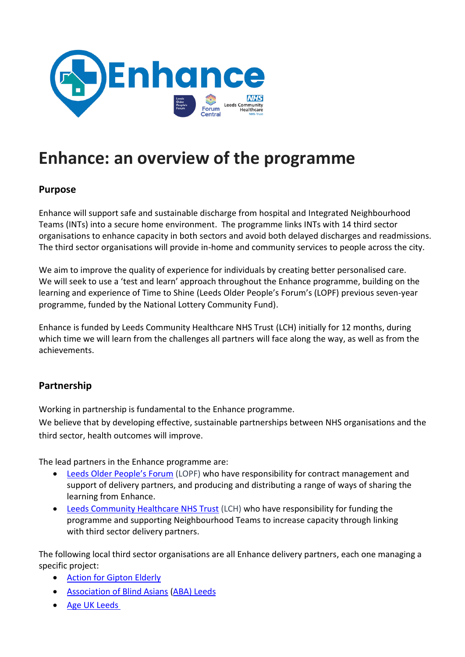

# **Enhance: an overview of the programme**

#### **Purpose**

Enhance will support safe and sustainable discharge from hospital and Integrated Neighbourhood Teams (INTs) into a secure home environment. The programme links INTs with 14 third sector organisations to enhance capacity in both sectors and avoid both delayed discharges and readmissions. The third sector organisations will provide in-home and community services to people across the city.

We aim to improve the quality of experience for individuals by creating better personalised care. We will seek to use a 'test and learn' approach throughout the Enhance programme, building on the learning and experience of Time to Shine (Leeds Older People's Forum's (LOPF) previous seven-year programme, funded by the National Lottery Community Fund).

Enhance is funded by Leeds Community Healthcare NHS Trust (LCH) initially for 12 months, during which time we will learn from the challenges all partners will face along the way, as well as from the achievements.

## **Partnership**

Working in partnership is fundamental to the Enhance programme.

We believe that by developing effective, sustainable partnerships between NHS organisations and the third sector, health outcomes will improve.

The lead partners in the Enhance programme are:

- [Leeds Older People's Forum](https://www.opforum.org.uk/) (LOPF) who have responsibility for contract management and support of delivery partners, and producing and distributing a range of ways of sharing the learning from Enhance.
- [Leeds Community Healthcare NHS Trust](https://www.leedscommunityhealthcare.nhs.uk/) (LCH) who have responsibility for funding the programme and supporting Neighbourhood Teams to increase capacity through linking with third sector delivery partners.

The following local third sector organisations are all Enhance delivery partners, each one managing a specific project:

- [Action for Gipton Elderly](https://www.leedsdirectory.org/directory/action-for-gipton-elderly)
- [Association of Blind Asians](https://abaleeds.org.uk/) (ABA) [Leeds](https://abaleeds.org.uk/)
- [Age UK Leeds](https://www.ageuk.org.uk/leeds/)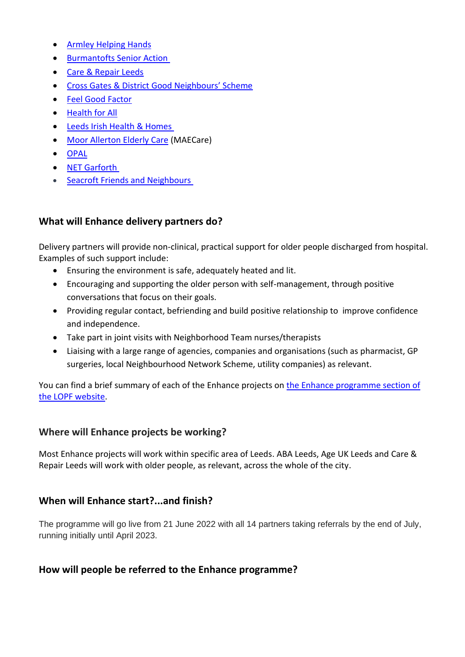- [Armley Helping Hands](https://www.armleyhelpinghands.org.uk/)
- [Burmantofts Senior Action](http://www.bsaleeds.org.uk/)
- [Care & Repair Leeds](https://care-repair-leeds.org.uk/)
- [Cross Gates & District Good Neighbours' Scheme](https://crossgatesgns.org.uk/)
- [Feel Good Factor](https://www.fgfleeds.org/)
- [Health for All](https://www.healthforall.org.uk/)
- [Leeds Irish Health & Homes](https://www.lihh.org/)
- **[Moor Allerton Elderly Care](https://www.maecare.org.uk/) (MAECare)**
- [OPAL](https://www.opal-project.org.uk/?fbclid=IwAR0CAkk_ge7tpZ2SDPYDNM_AbxB-fJz8SvfPruZrzd6foqU5FoWdOC-91FA)
- [NET Garforth](https://www.netgarforth.org/)
- [Seacroft Friends and Neighbours](https://www.seacroftfriends.org.uk/)

# **What will Enhance delivery partners do?**

Delivery partners will provide non-clinical, practical support for older people discharged from hospital. Examples of such support include:

- Ensuring the environment is safe, adequately heated and lit.
- Encouraging and supporting the older person with self-management, through positive conversations that focus on their goals.
- Providing regular contact, befriending and build positive relationship to improve confidence and independence.
- Take part in joint visits with Neighborhood Team nurses/therapists
- Liaising with a large range of agencies, companies and organisations (such as pharmacist, GP surgeries, local Neighbourhood Network Scheme, utility companies) as relevant.

You can find a brief summary of each of the Enhance projects o[n the Enhance programme section of](https://www.opforum.org.uk/projects-and-campaigns/enhance-programme/)  [the LOPF website.](https://www.opforum.org.uk/projects-and-campaigns/enhance-programme/)

## **Where will Enhance projects be working?**

Most Enhance projects will work within specific area of Leeds. ABA Leeds, Age UK Leeds and Care & Repair Leeds will work with older people, as relevant, across the whole of the city.

## **When will Enhance start?...and finish?**

The programme will go live from 21 June 2022 with all 14 partners taking referrals by the end of July, running initially until April 2023.

## **How will people be referred to the Enhance programme?**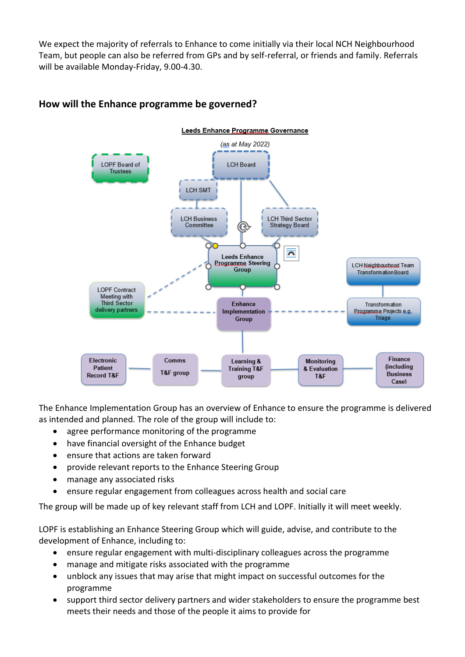We expect the majority of referrals to Enhance to come initially via their local NCH Neighbourhood Team, but people can also be referred from GPs and by self-referral, or friends and family. Referrals will be available Monday-Friday, 9.00-4.30.



## **How will the Enhance programme be governed?**

The Enhance Implementation Group has an overview of Enhance to ensure the programme is delivered as intended and planned. The role of the group will include to:

- agree performance monitoring of the programme
- have financial oversight of the Enhance budget
- ensure that actions are taken forward
- provide relevant reports to the Enhance Steering Group
- manage any associated risks
- ensure regular engagement from colleagues across health and social care

The group will be made up of key relevant staff from LCH and LOPF. Initially it will meet weekly.

LOPF is establishing an Enhance Steering Group which will guide, advise, and contribute to the development of Enhance, including to:

- ensure regular engagement with multi-disciplinary colleagues across the programme
- manage and mitigate risks associated with the programme
- unblock any issues that may arise that might impact on successful outcomes for the programme
- support third sector delivery partners and wider stakeholders to ensure the programme best meets their needs and those of the people it aims to provide for